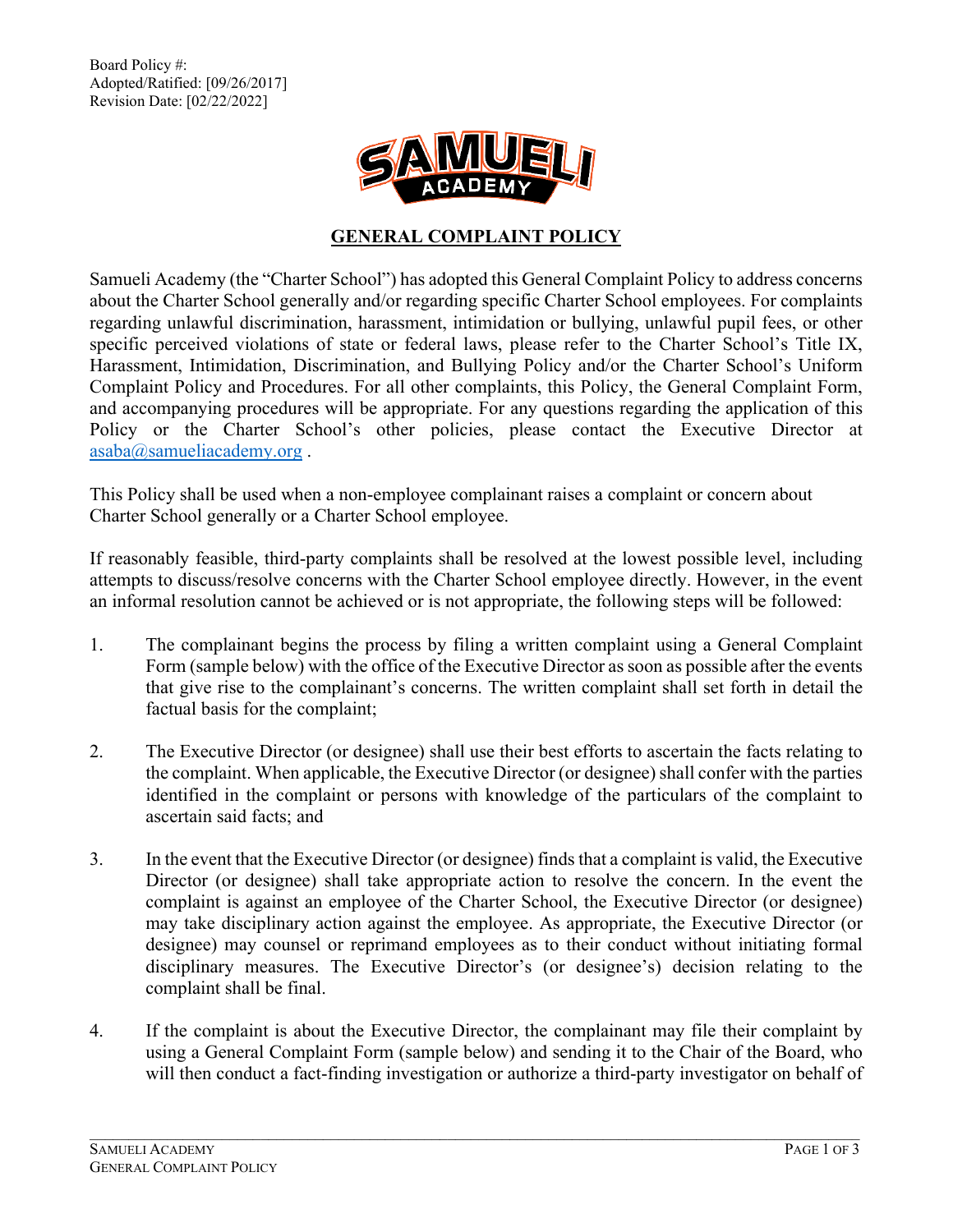Board Policy #: Adopted/Ratified: [09/26/2017] Revision Date: [02/22/2022]



## **GENERAL COMPLAINT POLICY**

Samueli Academy (the "Charter School") has adopted this General Complaint Policy to address concerns about the Charter School generally and/or regarding specific Charter School employees. For complaints regarding unlawful discrimination, harassment, intimidation or bullying, unlawful pupil fees, or other specific perceived violations of state or federal laws, please refer to the Charter School's Title IX, Harassment, Intimidation, Discrimination, and Bullying Policy and/or the Charter School's Uniform Complaint Policy and Procedures. For all other complaints, this Policy, the General Complaint Form, and accompanying procedures will be appropriate. For any questions regarding the application of this Policy or the Charter School's other policies, please contact the Executive Director at [asaba@samueliacademy.org](mailto:asaba@samueliacademy.org) .

This Policy shall be used when a non-employee complainant raises a complaint or concern about Charter School generally or a Charter School employee.

If reasonably feasible, third-party complaints shall be resolved at the lowest possible level, including attempts to discuss/resolve concerns with the Charter School employee directly. However, in the event an informal resolution cannot be achieved or is not appropriate, the following steps will be followed:

- 1. The complainant begins the process by filing a written complaint using a General Complaint Form (sample below) with the office of the Executive Director as soon as possible after the events that give rise to the complainant's concerns. The written complaint shall set forth in detail the factual basis for the complaint;
- 2. The Executive Director (or designee) shall use their best efforts to ascertain the facts relating to the complaint. When applicable, the Executive Director (or designee) shall confer with the parties identified in the complaint or persons with knowledge of the particulars of the complaint to ascertain said facts; and
- 3. In the event that the Executive Director (or designee) finds that a complaint is valid, the Executive Director (or designee) shall take appropriate action to resolve the concern. In the event the complaint is against an employee of the Charter School, the Executive Director (or designee) may take disciplinary action against the employee. As appropriate, the Executive Director (or designee) may counsel or reprimand employees as to their conduct without initiating formal disciplinary measures. The Executive Director's (or designee's) decision relating to the complaint shall be final.
- 4. If the complaint is about the Executive Director, the complainant may file their complaint by using a General Complaint Form (sample below) and sending it to the Chair of the Board, who will then conduct a fact-finding investigation or authorize a third-party investigator on behalf of

\_\_\_\_\_\_\_\_\_\_\_\_\_\_\_\_\_\_\_\_\_\_\_\_\_\_\_\_\_\_\_\_\_\_\_\_\_\_\_\_\_\_\_\_\_\_\_\_\_\_\_\_\_\_\_\_\_\_\_\_\_\_\_\_\_\_\_\_\_\_\_\_\_\_\_\_\_\_\_\_\_\_\_\_\_\_\_\_\_\_\_\_\_\_\_\_\_\_\_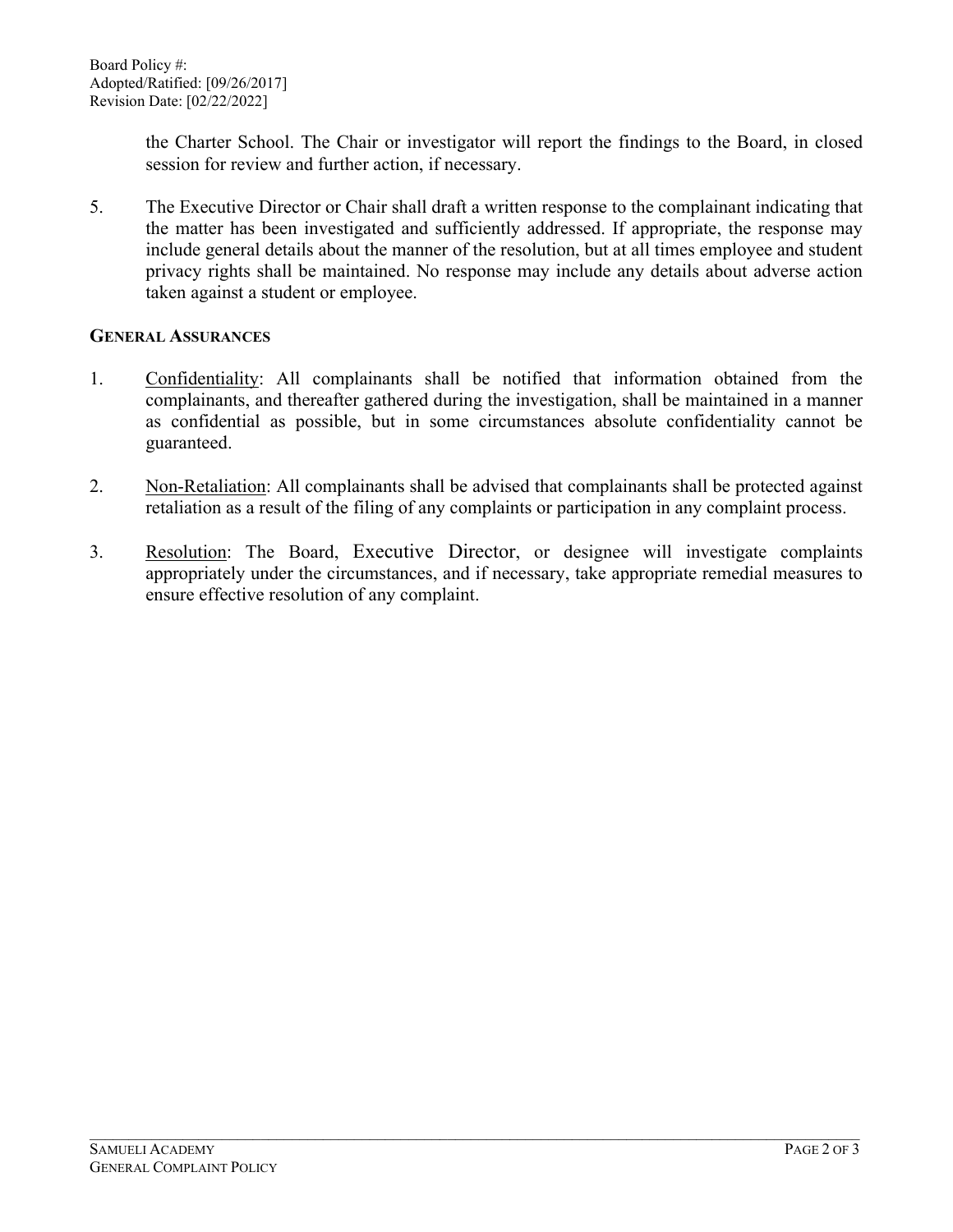the Charter School. The Chair or investigator will report the findings to the Board, in closed session for review and further action, if necessary.

5. The Executive Director or Chair shall draft a written response to the complainant indicating that the matter has been investigated and sufficiently addressed. If appropriate, the response may include general details about the manner of the resolution, but at all times employee and student privacy rights shall be maintained. No response may include any details about adverse action taken against a student or employee.

## **GENERAL ASSURANCES**

- 1. Confidentiality: All complainants shall be notified that information obtained from the complainants, and thereafter gathered during the investigation, shall be maintained in a manner as confidential as possible, but in some circumstances absolute confidentiality cannot be guaranteed.
- 2. Non-Retaliation: All complainants shall be advised that complainants shall be protected against retaliation as a result of the filing of any complaints or participation in any complaint process.
- 3. Resolution: The Board, Executive Director, or designee will investigate complaints appropriately under the circumstances, and if necessary, take appropriate remedial measures to ensure effective resolution of any complaint.

\_\_\_\_\_\_\_\_\_\_\_\_\_\_\_\_\_\_\_\_\_\_\_\_\_\_\_\_\_\_\_\_\_\_\_\_\_\_\_\_\_\_\_\_\_\_\_\_\_\_\_\_\_\_\_\_\_\_\_\_\_\_\_\_\_\_\_\_\_\_\_\_\_\_\_\_\_\_\_\_\_\_\_\_\_\_\_\_\_\_\_\_\_\_\_\_\_\_\_